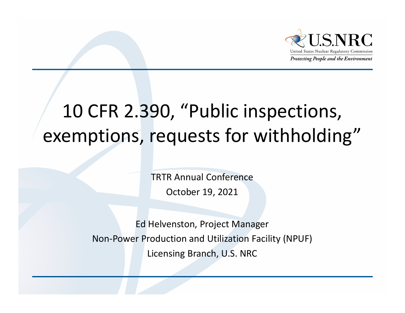

### 10 CFR 2.390, "Public inspections, exemptions, requests for withholding"

TRTR Annual ConferenceOctober 19, 2021

Ed Helvenston, Project Manager Non-Power Production and Utilization Facility (NPUF) Licensing Branch, U.S. NRC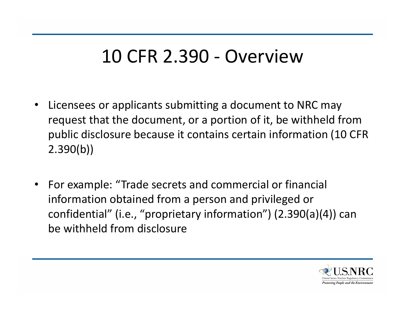#### 10 CFR 2.390 - Overview

- $\bullet$  Licensees or applicants submitting a document to NRC may request that the document, or a portion of it, be withheld from public disclosure because it contains certain information (10 CFR 2.390(b))
- $\bullet$  For example: "Trade secrets and commercial or financial information obtained from a person and privileged or confidential" (i.e., "proprietary information") (2.390(a)(4)) can be withheld from disclosure

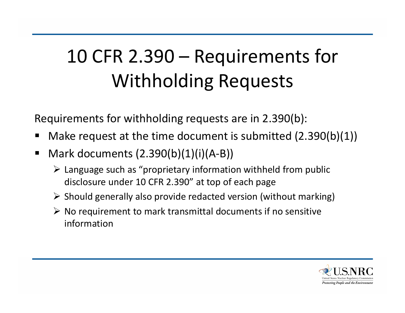# 10 CFR 2.390 – Requirements for Withholding Requests

Requirements for withholding requests are in 2.390(b):

- Make request at the time document is submitted (2.390(b)(1))
- $\blacksquare$  Mark documents (2.390(b)(1)(i)(A-B))
	- $\triangleright$  Language such as "proprietary information withheld from public disclosure under 10 CFR 2.390" at top of each page
	- $\triangleright$  Should generally also provide redacted version (without marking)
	- $\triangleright$  No requirement to mark transmittal documents if no sensitive information

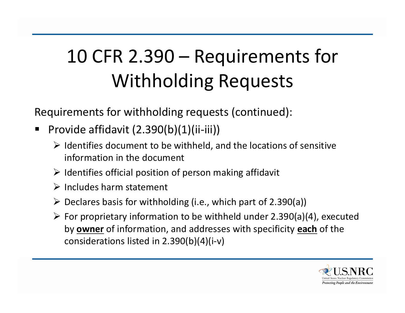# 10 CFR 2.390 – Requirements for Withholding Requests

Requirements for withholding requests (continued):

- ٠ Provide affidavit (2.390(b)(1)(ii-iii))
	- $\triangleright$  Identifies document to be withheld, and the locations of sensitive information in the document
	- $\triangleright$  Identifies official position of person making affidavit
	- $\triangleright$  Includes harm statement
	- $\triangleright$  Declares basis for withholding (i.e., which part of 2.390(a))
	- $\triangleright$  For proprietary information to be withheld under 2.390(a)(4), executed by **owner** of information, and addresses with specificity **each** of the considerations listed in 2.390(b)(4)(i-v)

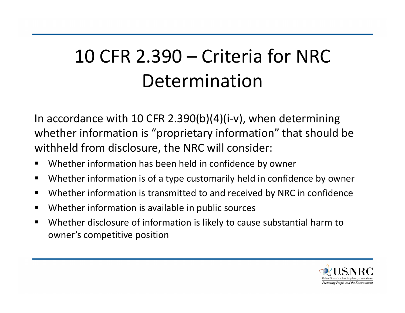### 10 CFR 2.390 – Criteria for NRC Determination

In accordance with 10 CFR 2.390(b)(4)(i-v), when determining whether information is "proprietary information" that should be withheld from disclosure, the NRC will consider:

- $\blacksquare$ Whether information has been held in confidence by owner
- $\blacksquare$ Whether information is of a type customarily held in confidence by owner
- $\blacksquare$ Whether information is transmitted to and received by NRC in confidence
- $\blacksquare$ Whether information is available in public sources
- $\blacksquare$  Whether disclosure of information is likely to cause substantial harm to owner's competitive position

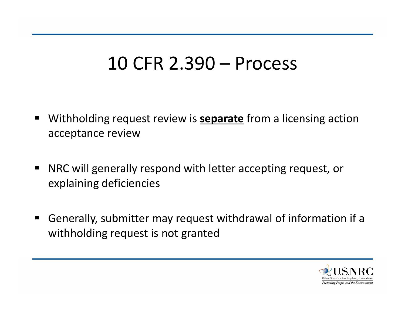#### 10 CFR 2.390 – Process

- $\blacksquare$  Withholding request review is **separate** from a licensing action acceptance review
- $\blacksquare$  NRC will generally respond with letter accepting request, or explaining deficiencies
- $\begin{array}{c} \hline \end{array}$  Generally, submitter may request withdrawal of information if a withholding request is not granted

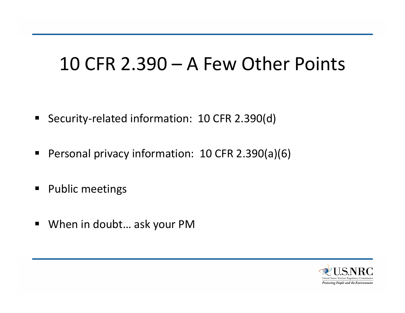#### 10 CFR 2.390 – A Few Other Points

- Security-related information: 10 CFR 2.390(d)
- $\blacksquare$ Personal privacy information: 10 CFR 2.390(a)(6)
- **Public meetings**
- When in doubt... ask your PM

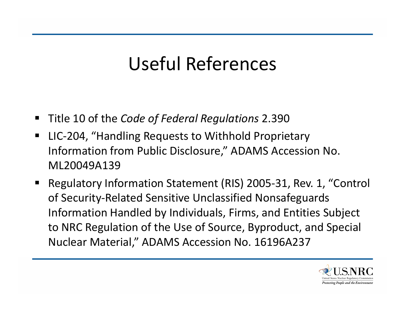### Useful References

- Title 10 of the *Code of Federal Regulations* 2.390
- $\blacksquare$  LIC-204, "Handling Requests to Withhold Proprietary Information from Public Disclosure," ADAMS Accession No. ML20049A139
- $\blacksquare$  Regulatory Information Statement (RIS) 2005-31, Rev. 1, "Control of Security-Related Sensitive Unclassified Nonsafeguards Information Handled by Individuals, Firms, and Entities Subject to NRC Regulation of the Use of Source, Byproduct, and Special Nuclear Material," ADAMS Accession No. 16196A237